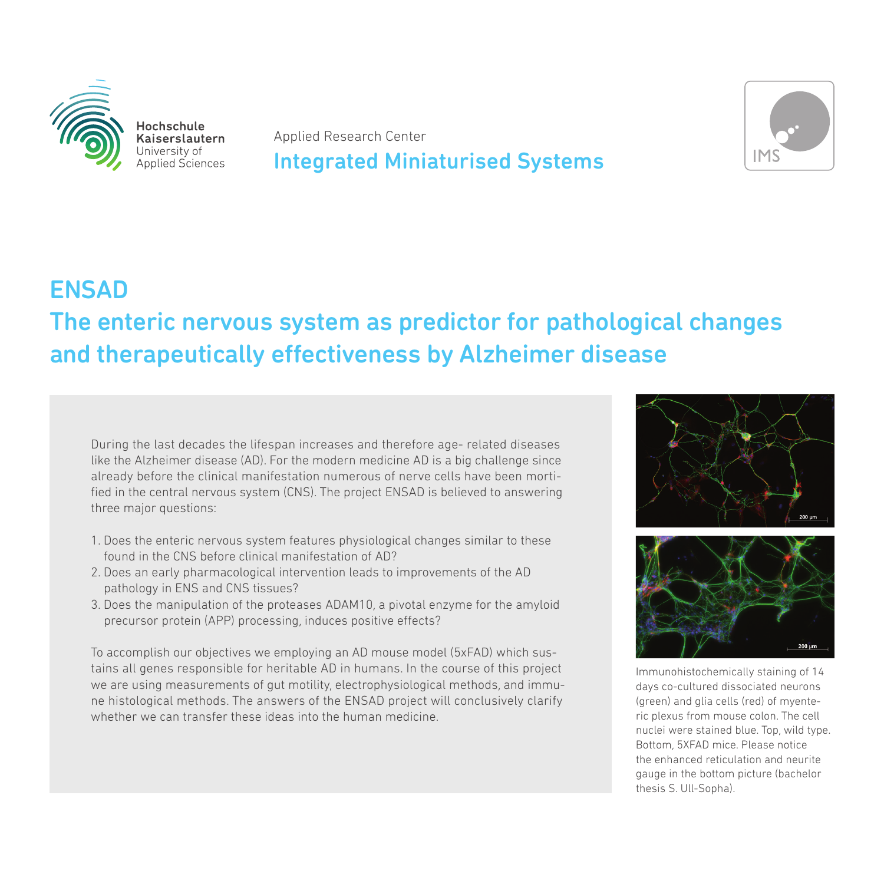

Hochschule Kaiserslautern University of Applied Sciences

Applied Research Center

## Integrated Miniaturised Systems



## ENSAD The enteric nervous system as predictor for pathological changes and therapeutically effectiveness by Alzheimer disease

During the last decades the lifespan increases and therefore age- related diseases like the Alzheimer disease (AD). For the modern medicine AD is a big challenge since already before the clinical manifestation numerous of nerve cells have been mortified in the central nervous system (CNS). The project ENSAD is believed to answering three major questions:

- 1. Does the enteric nervous system features physiological changes similar to these found in the CNS before clinical manifestation of AD?
- 2. Does an early pharmacological intervention leads to improvements of the AD pathology in ENS and CNS tissues?
- 3. Does the manipulation of the proteases ADAM10, a pivotal enzyme for the amyloid precursor protein (APP) processing, induces positive effects?

To accomplish our objectives we employing an AD mouse model (5xFAD) which sustains all genes responsible for heritable AD in humans. In the course of this project we are using measurements of gut motility, electrophysiological methods, and immune histological methods. The answers of the ENSAD project will conclusively clarify whether we can transfer these ideas into the human medicine.



Immunohistochemically staining of 14 days co-cultured dissociated neurons (green) and glia cells (red) of myenteric plexus from mouse colon. The cell nuclei were stained blue. Top, wild type. Bottom, 5XFAD mice. Please notice the enhanced reticulation and neurite gauge in the bottom picture (bachelor thesis S. Ull-Sopha).